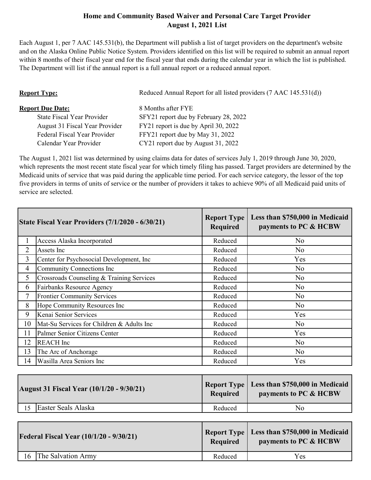## **Home and Community Based Waiver and Personal Care Target Provider August 1, 2021 List**

Each August 1, per 7 AAC 145.531(b), the Department will publish a list of target providers on the department's website and on the Alaska Online Public Notice System. Providers identified on this list will be required to submit an annual report within 8 months of their fiscal year end for the fiscal year that ends during the calendar year in which the list is published. The Department will list if the annual report is a full annual report or a reduced annual report.

| <b>Report Type:</b>                 | Reduced Annual Report for all listed providers (7 AAC 145.531(d)) |  |
|-------------------------------------|-------------------------------------------------------------------|--|
| <b>Report Due Date:</b>             | 8 Months after FYE                                                |  |
| <b>State Fiscal Year Provider</b>   | SFY21 report due by February 28, 2022                             |  |
| August 31 Fiscal Year Provider      | FY21 report is due by April 30, 2022                              |  |
| <b>Federal Fiscal Year Provider</b> | FFY21 report due by May 31, 2022                                  |  |
| Calendar Year Provider              | CY21 report due by August 31, 2022                                |  |

The August 1, 2021 list was determined by using claims data for dates of services July 1, 2019 through June 30, 2020, which represents the most recent state fiscal year for which timely filing has passed. Target providers are determined by the Medicaid units of service that was paid during the applicable time period. For each service category, the lessor of the top five providers in terms of units of service or the number of providers it takes to achieve 90% of all Medicaid paid units of service are selected.

|                | <b>State Fiscal Year Providers (7/1/2020 - 6/30/21)</b> | <b>Report Type</b><br><b>Required</b> | Less than \$750,000 in Medicaid<br>payments to PC & HCBW |
|----------------|---------------------------------------------------------|---------------------------------------|----------------------------------------------------------|
| 1              | Access Alaska Incorporated                              | Reduced                               | N <sub>o</sub>                                           |
| $\overline{2}$ | Assets Inc                                              | Reduced                               | N <sub>o</sub>                                           |
| 3              | Center for Psychosocial Development, Inc                | Reduced                               | Yes                                                      |
| $\overline{4}$ | Community Connections Inc                               | Reduced                               | N <sub>o</sub>                                           |
| 5              | Crossroads Counseling & Training Services               | Reduced                               | N <sub>o</sub>                                           |
| 6              | Fairbanks Resource Agency                               | Reduced                               | N <sub>o</sub>                                           |
| $\overline{7}$ | <b>Frontier Community Services</b>                      | Reduced                               | N <sub>o</sub>                                           |
| 8              | Hope Community Resources Inc                            | Reduced                               | N <sub>o</sub>                                           |
| 9              | Kenai Senior Services                                   | Reduced                               | Yes                                                      |
| 10             | Mat-Su Services for Children & Adults Inc               | Reduced                               | N <sub>o</sub>                                           |
| 11             | Palmer Senior Citizens Center                           | Reduced                               | Yes                                                      |
| 12             | <b>REACH</b> Inc                                        | Reduced                               | N <sub>o</sub>                                           |
| 13             | The Arc of Anchorage                                    | Reduced                               | N <sub>o</sub>                                           |
| 14             | Wasilla Area Seniors Inc                                | Reduced                               | Yes                                                      |

| <b>August 31 Fiscal Year (10/1/20 - 9/30/21)</b> | Required | Report Type   Less than \$750,000 in Medicaid<br>payments to PC & HCBW |
|--------------------------------------------------|----------|------------------------------------------------------------------------|
| Easter Seals Alaska                              | Reduced  | No.                                                                    |

| <b>Federal Fiscal Year (10/1/20 - 9/30/21)</b> | Required | Report Type   Less than \$750,000 in Medicaid<br>payments to PC & HCBW |
|------------------------------------------------|----------|------------------------------------------------------------------------|
| The Salvation Army<br>16                       | Reduced  | Yes                                                                    |